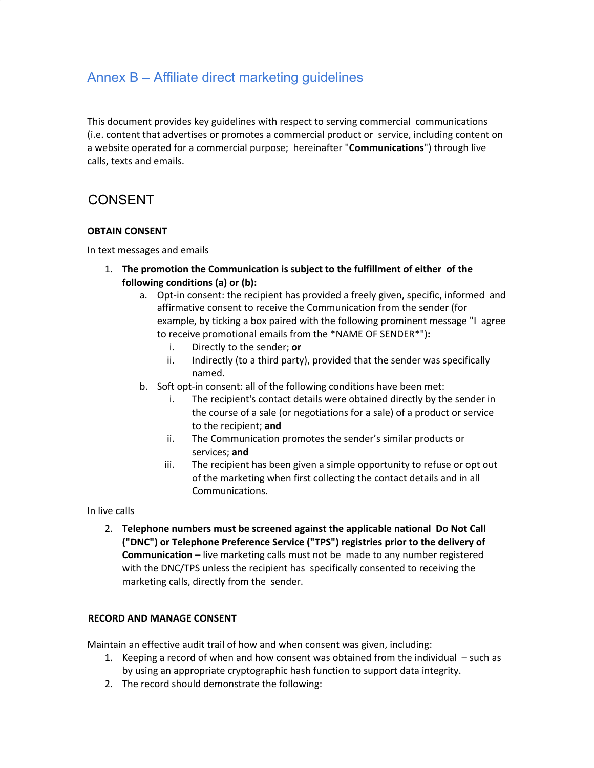### Annex B – Affiliate direct marketing guidelines

This document provides key guidelines with respect to serving commercial communications (i.e. content that advertises or promotes a commercial product or service, including content on a website operated for a commercial purpose; hereinafter "**Communications**") through live calls, texts and emails.

### CONSENT

#### **OBTAIN CONSENT**

In text messages and emails

- 1. **The promotion the Communication is subject to the fulfillment of either of the following conditions (a) or (b):**
	- a. Opt-in consent: the recipient has provided a freely given, specific, informed and affirmative consent to receive the Communication from the sender (for example, by ticking a box paired with the following prominent message "I agree to receive promotional emails from the \*NAME OF SENDER\*")**:**
		- i. Directly to the sender; **or**
		- ii. Indirectly (to a third party), provided that the sender was specifically named.
	- b. Soft opt-in consent: all of the following conditions have been met:
		- i. The recipient's contact details were obtained directly by the sender in the course of a sale (or negotiations for a sale) of a product or service to the recipient; **and**
		- ii. The Communication promotes the sender's similar products or services; **and**
		- iii. The recipient has been given a simple opportunity to refuse or opt out of the marketing when first collecting the contact details and in all Communications.

In live calls

2. **Telephone numbers must be screened against the applicable national Do Not Call ("DNC") or Telephone Preference Service ("TPS") registries prior to the delivery of Communication** – live marketing calls must not be made to any number registered with the DNC/TPS unless the recipient has specifically consented to receiving the marketing calls, directly from the sender.

#### **RECORD AND MANAGE CONSENT**

Maintain an effective audit trail of how and when consent was given, including:

- 1. Keeping a record of when and how consent was obtained from the individual such as by using an appropriate cryptographic hash function to support data integrity.
- 2. The record should demonstrate the following: